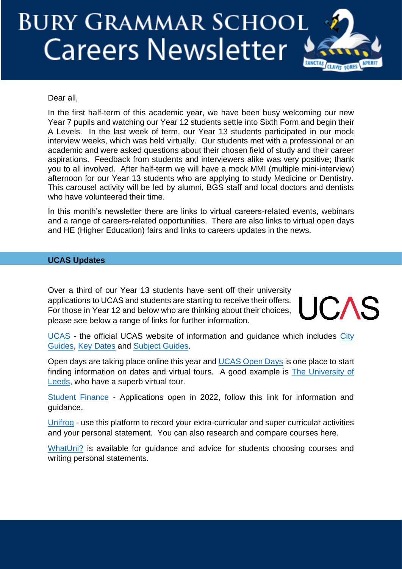# **BURY GRAMMAR SCHOOL Careers Newsletter**



## Dear all,

In the first half-term of this academic year, we have been busy welcoming our new Year 7 pupils and watching our Year 12 students settle into Sixth Form and begin their A Levels. In the last week of term, our Year 13 students participated in our mock interview weeks, which was held virtually. Our students met with a professional or an academic and were asked questions about their chosen field of study and their career aspirations. Feedback from students and interviewers alike was very positive; thank you to all involved. After half-term we will have a mock MMI (multiple mini-interview) afternoon for our Year 13 students who are applying to study Medicine or Dentistry. This carousel activity will be led by alumni, BGS staff and local doctors and dentists who have volunteered their time.

In this month's newsletter there are links to virtual careers-related events, webinars and a range of careers-related opportunities. There are also links to virtual open days and HE (Higher Education) fairs and links to careers updates in the news.

# **UCAS Updates**

Over a third of our Year 13 students have sent off their university applications to UCAS and students are starting to receive their offers. For those in Year 12 and below who are thinking about their choices, please see below a range of links for further information.



[UCAS](https://www.ucas.com/) - the official UCAS website of information and guidance which includes [City](https://www.ucas.com/city-guides)  [Guides,](https://www.ucas.com/city-guides) [Key Dates](https://www.ucas.com/ucas/events/find/scheme/undergraduate/type/key-date?layout=list) and [Subject Guides.](https://www.ucas.com/explore/subjects)

Open days are taking place online this year and [UCAS Open Days](https://www.ucas.com/undergraduate/what-and-where-study/events-and-open-days) is one place to start finding information on dates and virtual tours. A good example is [The University of](https://virtualcampustour.leeds.ac.uk/)  [Leeds,](https://virtualcampustour.leeds.ac.uk/) who have a superb virtual tour.

[Student Finance](https://www.gov.uk/student-finance) - Applications open in 2022, follow this link for information and guidance.

[Unifrog](https://www.unifrog.org/) - use this platform to record your extra-curricular and super curricular activities and your personal statement. You can also research and compare courses here.

[WhatUni?](https://www.whatuni.com/) is available for quidance and advice for students choosing courses and writing personal statements.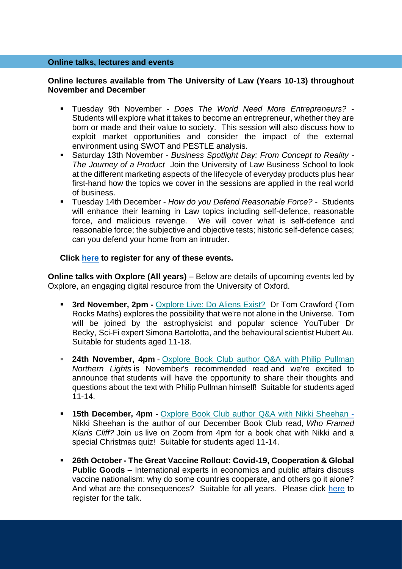#### **Online talks, lectures and events**

## **Online lectures available from The University of Law (Years 10-13) throughout November and December**

- Tuesday 9th November *Does The World Need More Entrepreneurs?* Students will explore what it takes to become an entrepreneur, whether they are born or made and their value to society. This session will also discuss how to exploit market opportunities and consider the impact of the external environment using SWOT and PESTLE analysis.
- Saturday 13th November *Business Spotlight Day: From Concept to Reality - The Journey of a Product* Join the University of Law Business School to look at the different marketing aspects of the lifecycle of everyday products plus hear first-hand how the topics we cover in the sessions are applied in the real world of business.
- Tuesday 14th December *How do you Defend Reasonable Force? -* Students will enhance their learning in Law topics including self-defence, reasonable force, and malicious revenge. We will cover what is self-defence and reasonable force; the subjective and objective tests; historic self-defence cases; can you defend your home from an intruder.

## **Click [here](https://www.law.ac.uk/events/booking/?_cldee=Y3dpbHNvbkBoaWdoY2xpZmZlc2Nob29sLmNvbQ%3d%3d&recipientid=contact-dbfa00287024e911a98400224800cf35-fd83f136f3ef4ace851651a4b3d5a80e&esid=72ad8323-cb17-ec11-b6e6-0022481aa065) to register for any of these events.**

**Online talks with Oxplore (All years)** – Below are details of upcoming events led by Oxplore, an engaging digital resource from the University of Oxford.

- **3rd November, 2pm -** [Oxplore](https://oxplore.us15.list-manage.com/track/click?u=d35af91ffb638ee455a651bae&id=f4954d12bd&e=71de1220db) Live: Do Aliens Exist? Dr Tom Crawford (Tom Rocks Maths) explores the possibility that we're not alone in the Universe. Tom will be joined by the astrophysicist and popular science YouTuber Dr Becky, Sci-Fi expert Simona Bartolotta, and the behavioural scientist Hubert Au. Suitable for students aged 11-18.
- **24th November, 4pm -** Oxplore Book Club author Q&A with Philip [Pullman](https://oxplore.us15.list-manage.com/track/click?u=d35af91ffb638ee455a651bae&id=76a41a4c91&e=71de1220db) *Northern Lights* is November's recommended read and we're excited to announce that students will have the opportunity to share their thoughts and questions about the text with Philip Pullman himself! Suitable for students aged 11-14.
- **15th December, 4pm -** Oxplore Book Club author Q&A with Nikki [Sheehan](https://oxplore.us15.list-manage.com/track/click?u=d35af91ffb638ee455a651bae&id=54887f81e4&e=71de1220db) Nikki Sheehan is the author of our December Book Club read, *Who Framed Klaris Cliff?* Join us live on Zoom from 4pm for a book chat with Nikki and a special Christmas quiz! Suitable for students aged 11-14.
- **26th October - The Great Vaccine Rollout: Covid-19, Cooperation & Global Public Goods** – International experts in economics and public affairs discuss vaccine nationalism: why do some countries cooperate, and others go it alone? And what are the consequences? Suitable for all years. Please click [here](https://www.admin.cam.ac.uk/whatson/detail.shtml?uid=3f9e7110-c4b6-4215-8059-0c80366692a5&utm_campaign=newsletters&utm_medium=email&utm_source=553837_Whats%20On%20October&dm_i=6DCF,BVCD,2NEZ8G,1FGQ5,1) to register for the talk.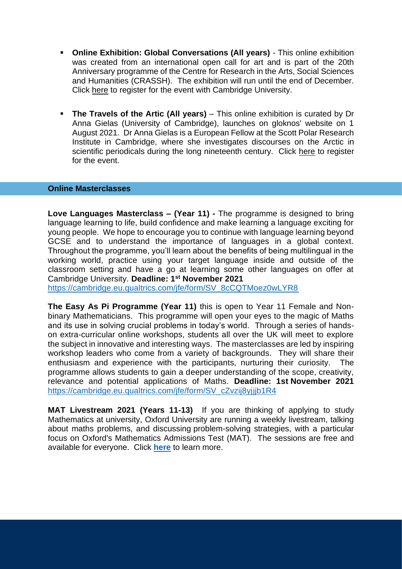- **Online Exhibition: Global Conversations (All years)** This online exhibition was created from an international open call for art and is part of the 20th Anniversary programme of the Centre for Research in the Arts, Social Sciences and Humanities (CRASSH). The exhibition will run until the end of December. Click [here](https://www.admin.cam.ac.uk/whatson/detail.shtml?uid=d03d39f2-77f2-4f63-a541-de0fe8fe9dd9) to register for the event with Cambridge University.
- **The Travels of the Artic (All years)** This online exhibition is curated by Dr Anna Gielas (University of Cambridge), launches on gloknos' website on 1 August 2021. Dr Anna Gielas is a European Fellow at the Scott Polar Research Institute in Cambridge, where she investigates discourses on the Arctic in scientific periodicals during the long nineteenth century. Click [here](https://www.admin.cam.ac.uk/whatson/detail.shtml?uid=1bfc3a53-a472-4390-8936-1af2560f6b01) to register for the event.

#### **Online Masterclasses**

**Love Languages Masterclass – (Year 11) -** The programme is designed to bring language learning to life, build confidence and make learning a language exciting for young people. We hope to encourage you to continue with language learning beyond GCSE and to understand the importance of languages in a global context. Throughout the programme, you'll learn about the benefits of being multilingual in the working world, practice using your target language inside and outside of the classroom setting and have a go at learning some other languages on offer at Cambridge University. **Deadline: 1st November 2021** [https://cambridge.eu.qualtrics.com/jfe/form/SV\\_8cCQTMoez0wLYR8](https://cambridge.eu.qualtrics.com/jfe/form/SV_8cCQTMoez0wLYR8)

**The Easy As Pi Programme (Year 11)** this is open to Year 11 Female and Nonbinary Mathematicians. This programme will open your eyes to the magic of Maths and its use in solving crucial problems in today's world. Through a series of handson extra-curricular online workshops, students all over the UK will meet to explore the subject in innovative and interesting ways. The masterclasses are led by inspiring workshop leaders who come from a variety of backgrounds. They will share their enthusiasm and experience with the participants, nurturing their curiosity. The programme allows students to gain a deeper understanding of the scope, creativity, relevance and potential applications of Maths. **Deadline: 1st November 2021** [https://cambridge.eu.qualtrics.com/jfe/form/SV\\_cZvzij8yjjjb1R4](https://cambridge.eu.qualtrics.com/jfe/form/SV_cZvzij8yjjjb1R4)

**MAT Livestream 2021 (Years 11-13)** If you are thinking of applying to study Mathematics at university, Oxford University are running a weekly livestream, talking about maths problems, and discussing problem-solving strategies, with a particular focus on Oxford's Mathematics Admissions Test (MAT). The sessions are free and available for everyone. Click **[here](https://www.maths.ox.ac.uk/node/36263)** to learn more.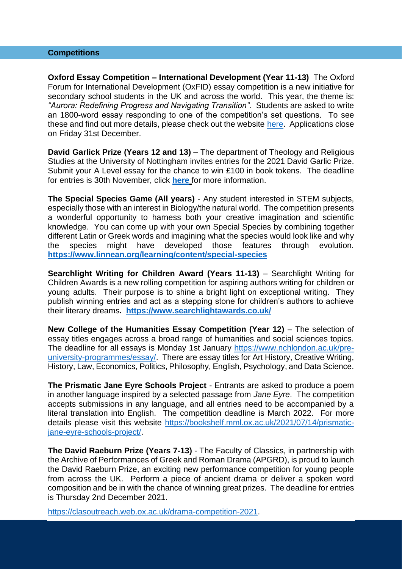#### **Competitions**

**Oxford Essay Competition – International Development (Year 11-13)** The Oxford Forum for International Development (OxFID) essay competition is a new initiative for secondary school students in the UK and across the world. This year, the theme is: *"Aurora: Redefining Progress and Navigating Transition".* Students are asked to write an 1800-word essay responding to one of the competition's set questions. To see these and find out more details, please check out the website [here.](https://www.oxfid.co.uk/essay-competition) Applications close on Friday 31st December.

**David Garlick Prize (Years 12 and 13)** – The department of Theology and Religious Studies at the University of Nottingham invites entries for the 2021 David Garlic Prize. Submit your A Level essay for the chance to win £100 in book tokens. The deadline for entries is 30th November, click **[here](https://www.nottingham.ac.uk/humanities/departments/theology-and-religious-studies/news-and-events/david-garlick-prize.aspx)** for more information.

**The Special Species Game (All years)** - Any student interested in STEM subjects, especially those with an interest in Biology/the natural world. The competition presents a wonderful opportunity to harness both your creative imagination and scientific knowledge. You can come up with your own Special Species by combining together different Latin or Greek words and imagining what the species would look like and why the species might have developed those features through evolution. **<https://www.linnean.org/learning/content/special-species>**

**Searchlight Writing for Children Award (Years 11-13)** – Searchlight Writing for Children Awards is a new rolling competition for aspiring authors writing for children or young adults. Their purpose is to shine a bright light on exceptional writing. They publish winning entries and act as a stepping stone for children's authors to achieve their literary dreams**. <https://www.searchlightawards.co.uk/>**

**New College of the Humanities Essay Competition (Year 12) – The selection of** essay titles engages across a broad range of humanities and social sciences topics. The deadline for all essays is Monday 1st January [https://www.nchlondon.ac.uk/pre](https://www.nchlondon.ac.uk/pre-university-programmes/essay/)[university-programmes/essay/.](https://www.nchlondon.ac.uk/pre-university-programmes/essay/) There are essay titles for Art History, Creative Writing, History, Law, Economics, Politics, Philosophy, English, Psychology, and Data Science.

**The Prismatic Jane Eyre Schools Project** - Entrants are asked to produce a poem in another language inspired by a selected passage from *Jane Eyre*. The competition accepts submissions in any language, and all entries need to be accompanied by a literal translation into English. The competition deadline is March 2022. For more details please visit this website [https://bookshelf.mml.ox.ac.uk/2021/07/14/prismatic](https://bookshelf.mml.ox.ac.uk/2021/07/14/prismatic-jane-eyre-schools-project/)[jane-eyre-schools-project/.](https://bookshelf.mml.ox.ac.uk/2021/07/14/prismatic-jane-eyre-schools-project/)

**The David Raeburn Prize (Years 7-13)** - The Faculty of Classics, in partnership with the Archive of Performances of Greek and Roman Drama (APGRD), is proud to launch the David Raeburn Prize, an exciting new performance competition for young people from across the UK. Perform a piece of ancient drama or deliver a spoken word composition and be in with the chance of winning great prizes. The deadline for entries is Thursday 2nd December 2021.

[https://clasoutreach.web.ox.ac.uk/drama-competition-2021.](https://clasoutreach.web.ox.ac.uk/drama-competition-2021)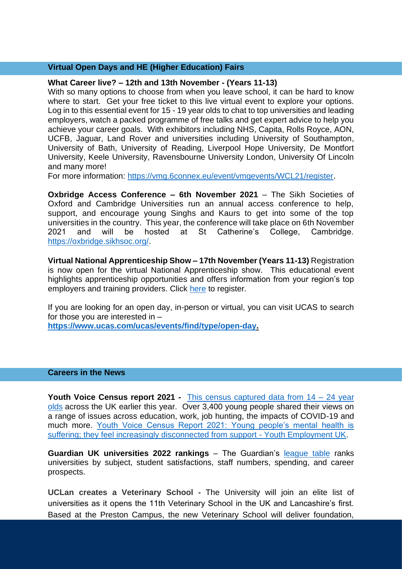# **Virtual Open Days and HE (Higher Education) Fairs**

## **What Career live? – 12th and 13th November - (Years 11-13)**

With so many options to choose from when you leave school, it can be hard to know where to start. Get your free ticket to this live virtual event to explore your options. Log in to this essential event for 15 - 19 year olds to chat to top universities and leading employers, watch a packed programme of free talks and get expert advice to help you achieve your career goals. With exhibitors including NHS, Capita, Rolls Royce, AON, UCFB, Jaguar, Land Rover and universities including University of Southampton, University of Bath, University of Reading, Liverpool Hope University, De Montfort University, Keele University, Ravensbourne University London, University Of Lincoln and many more!

For more information: [https://vmg.6connex.eu/event/vmgevents/WCL21/register.](https://vmg.6connex.eu/event/vmgevents/WCL21/register)

**Oxbridge Access Conference – 6th November 2021** – The Sikh Societies of Oxford and Cambridge Universities run an annual access conference to help, support, and encourage young Singhs and Kaurs to get into some of the top universities in the country. This year, the conference will take place on 6th November 2021 and will be hosted at St Catherine's College, Cambridge. [https://oxbridge.sikhsoc.org/.](https://oxbridge.sikhsoc.org/)

**Virtual National Apprenticeship Show – 17th November (Years 11-13)** Registration is now open for the virtual National Apprenticeship show. This educational event highlights apprenticeship opportunities and offers information from your region's top employers and training providers. Click [here](https://nasnorth.vfairs.com/en/register?utm_source=https%3a%2f%2fschools.tecl.co.uk%2feducationcompany5lz%2f&utm_medium=email&utm_campaign=NAS+North+-+Email+1+-+September+2021&utm_term=Your+invitation+to+the+Virtual+National+Apprenticeship+Show+-+North+17th+November+2021+&utm_content=3918960&gator_td=tce9eMgNG30fx%2biu5nlbyqE9uMJsQcy4NjYG6rpntG4ATcO7AdFp5hFSdqcB9lxEMERo6vzCpM0q0lpmYv1Swk3sNaY3wsfQG%2bEhSTCWTeXUkP%2fpkfTKBDA4S%2byx2xwnhzRjoG%2foR21njss3eTKPD9sJvSyb4s0%2bDS288rZ37sTfufq4c8t04iMxuUPO2CEgBMGf6%2blODwRyFNcvGsI4SQ%3d%3d) to register.

If you are looking for an open day, in-person or virtual, you can visit UCAS to search for those you are interested in –

**[https://www.ucas.com/ucas/events/find/type/open-day.](https://www.ucas.com/ucas/events/find/type/open-day)**

#### **Careers in the News**

**Youth Voice Census report 2021 -** [This census captured data from 14 –](https://www.youthemployment.org.uk/youth-voice-census/) 24 year [olds](https://www.youthemployment.org.uk/youth-voice-census/) across the UK earlier this year. Over 3,400 young people shared their views on a range of issues across education, work, job hunting, the impacts of COVID-19 and much more. [Youth Voice Census Report 2021: Young people's mental health is](https://www.youthemployment.org.uk/young-peoples-mental-health-is-suffering-2021-youth-voice-census/)  [suffering; they feel increasingly disconnected from support -](https://www.youthemployment.org.uk/young-peoples-mental-health-is-suffering-2021-youth-voice-census/) Youth Employment UK.

**Guardian UK universities 2022 rankings** – The Guardian's [league table](https://www.theguardian.com/education/ng-interactive/2021/sep/11/the-best-uk-universities-2022-rankings) ranks universities by subject, student satisfactions, staff numbers, spending, and career prospects.

**UCLan creates a Veterinary School -** The University will join an elite list of universities as it opens the 11th Veterinary School in the UK and Lancashire's first. Based at the Preston Campus, the new Veterinary School will deliver foundation,